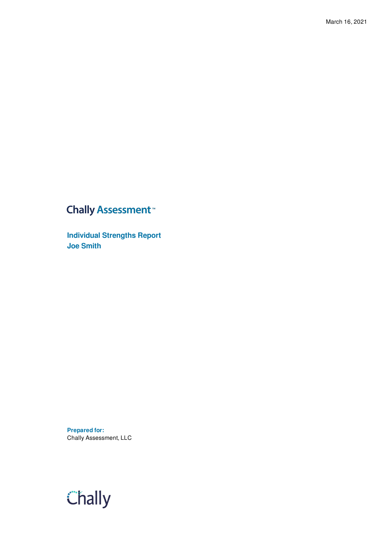### **Chally Assessment**<sup>™</sup>

**Individual Strengths Report Joe Smith**

**Prepared for:** Chally Assessment, LLC

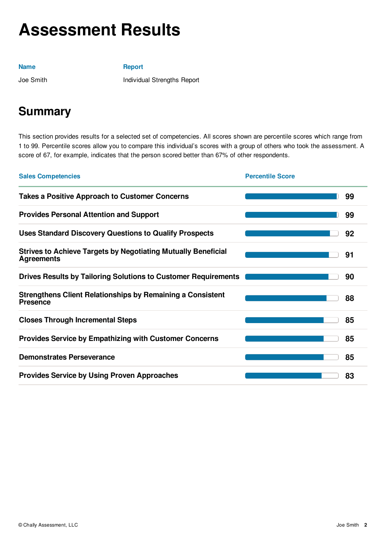# **Assessment Results**

#### **Name**

**Report**

Joe Smith

Individual Strengths Report

### **Summary**

This section provides results for a selected set of competencies. All scores shown are percentile scores which range from 1 to 99. Percentile scores allow you to compare this individual's scores with a group of others who took the assessment. A score of 67, for example, indicates that the person scored better than 67% of other respondents.

| <b>Sales Competencies</b>                                                                 | <b>Percentile Score</b> |    |
|-------------------------------------------------------------------------------------------|-------------------------|----|
| <b>Takes a Positive Approach to Customer Concerns</b>                                     |                         | 99 |
| <b>Provides Personal Attention and Support</b>                                            |                         | 99 |
| <b>Uses Standard Discovery Questions to Qualify Prospects</b>                             |                         | 92 |
| <b>Strives to Achieve Targets by Negotiating Mutually Beneficial</b><br><b>Agreements</b> |                         | 91 |
| <b>Drives Results by Tailoring Solutions to Customer Requirements</b>                     |                         | 90 |
| <b>Strengthens Client Relationships by Remaining a Consistent</b><br><b>Presence</b>      |                         | 88 |
| <b>Closes Through Incremental Steps</b>                                                   |                         | 85 |
| <b>Provides Service by Empathizing with Customer Concerns</b>                             |                         | 85 |
| <b>Demonstrates Perseverance</b>                                                          |                         | 85 |
| <b>Provides Service by Using Proven Approaches</b>                                        |                         | 83 |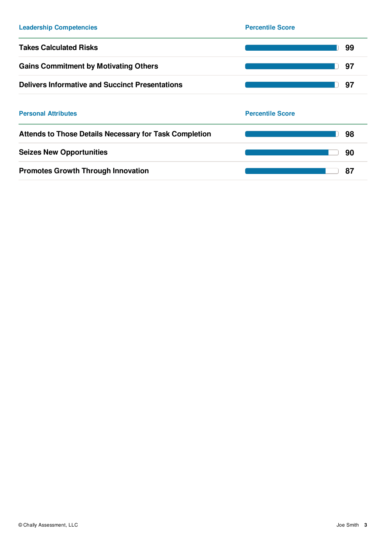| <b>Leadership Competencies</b>                                | <b>Percentile Score</b> |
|---------------------------------------------------------------|-------------------------|
| <b>Takes Calculated Risks</b>                                 | 99                      |
| <b>Gains Commitment by Motivating Others</b>                  | 97                      |
| <b>Delivers Informative and Succinct Presentations</b>        | 97                      |
| <b>Personal Attributes</b>                                    | <b>Percentile Score</b> |
| <b>Attends to Those Details Necessary for Task Completion</b> | 98                      |
| <b>Seizes New Opportunities</b>                               | 90                      |
| <b>Promotes Growth Through Innovation</b>                     | 87                      |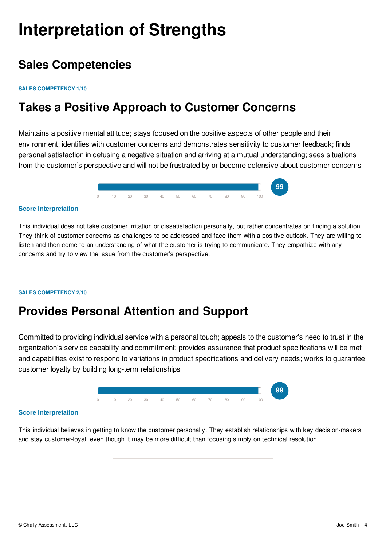# **Interpretation of Strengths**

### **Sales Competencies**

#### **SALES COMPETENCY 1/10**

### **Takes a Positive Approach to Customer Concerns**

Maintains a positive mental attitude; stays focused on the positive aspects of other people and their environment; identifies with customer concerns and demonstrates sensitivity to customer feedback; finds personal satisfaction in defusing a negative situation and arriving at a mutual understanding; sees situations from the customer's perspective and will not be frustrated by or become defensive about customer concerns



#### **Score Interpretation**

This individual does not take customer irritation or dissatisfaction personally, but rather concentrates on finding a solution. They think of customer concerns as challenges to be addressed and face them with a positive outlook. They are willing to listen and then come to an understanding of what the customer is trying to communicate. They empathize with any concerns and try to view the issue from the customer's perspective.

#### **SALES COMPETENCY 2/10**

### **Provides Personal Attention and Support**

Committed to providing individual service with a personal touch; appeals to the customer's need to trust in the organization's service capability and commitment; provides assurance that product specifications will be met and capabilities exist to respond to variations in product specifications and delivery needs; works to guarantee customer loyalty by building long-term relationships



#### **Score Interpretation**

This individual believes in getting to know the customer personally. They establish relationships with key decision-makers and stay customer-loyal, even though it may be more difficult than focusing simply on technical resolution.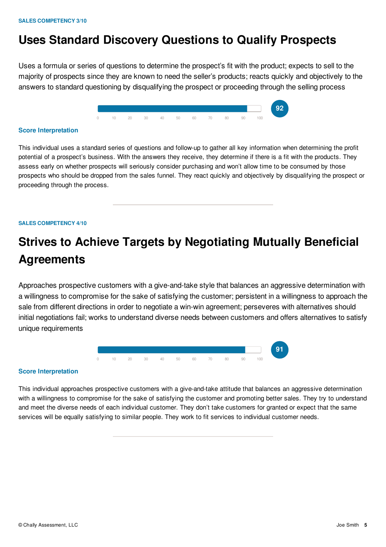### **Uses Standard Discovery Questions to Qualify Prospects**

Uses a formula or series of questions to determine the prospect's fit with the product; expects to sell to the majority of prospects since they are known to need the seller's products; reacts quickly and objectively to the answers to standard questioning by disqualifying the prospect or proceeding through the selling process



#### **Score Interpretation**

This individual uses a standard series of questions and follow-up to gather all key information when determining the profit potential of a prospect's business. With the answers they receive, they determine if there is a fit with the products. They assess early on whether prospects will seriously consider purchasing and won't allow time to be consumed by those prospects who should be dropped from the sales funnel. They react quickly and objectively by disqualifying the prospect or proceeding through the process.

#### **SALES COMPETENCY 4/10**

## **Strives to Achieve Targets by Negotiating Mutually Beneficial Agreements**

Approaches prospective customers with a give-and-take style that balances an aggressive determination with a willingness to compromise for the sake of satisfying the customer; persistent in a willingness to approach the sale from different directions in order to negotiate a win-win agreement; perseveres with alternatives should initial negotiations fail; works to understand diverse needs between customers and offers alternatives to satisfy unique requirements



#### **Score Interpretation**

This individual approaches prospective customers with a give-and-take attitude that balances an aggressive determination with a willingness to compromise for the sake of satisfying the customer and promoting better sales. They try to understand and meet the diverse needs of each individual customer. They don't take customers for granted or expect that the same services will be equally satisfying to similar people. They work to fit services to individual customer needs.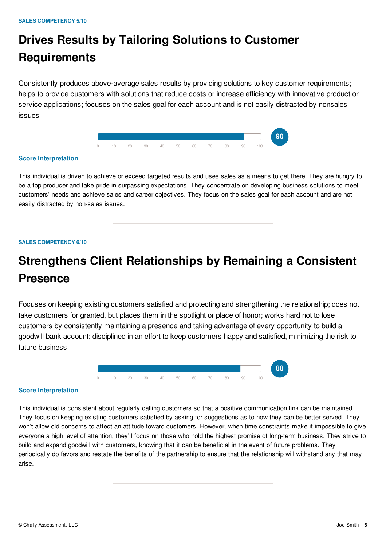# **Drives Results by Tailoring Solutions to Customer Requirements**

Consistently produces above-average sales results by providing solutions to key customer requirements; helps to provide customers with solutions that reduce costs or increase efficiency with innovative product or service applications; focuses on the sales goal for each account and is not easily distracted by nonsales issues



#### **Score Interpretation**

This individual is driven to achieve or exceed targeted results and uses sales as a means to get there. They are hungry to be a top producer and take pride in surpassing expectations. They concentrate on developing business solutions to meet customers' needs and achieve sales and career objectives. They focus on the sales goal for each account and are not easily distracted by non-sales issues.

#### **SALES COMPETENCY 6/10**

## **Strengthens Client Relationships by Remaining a Consistent Presence**

Focuses on keeping existing customers satisfied and protecting and strengthening the relationship; does not take customers for granted, but places them in the spotlight or place of honor; works hard not to lose customers by consistently maintaining a presence and taking advantage of every opportunity to build a goodwill bank account; disciplined in an effort to keep customers happy and satisfied, minimizing the risk to future business



#### **Score Interpretation**

This individual is consistent about regularly calling customers so that a positive communication link can be maintained. They focus on keeping existing customers satisfied by asking for suggestions as to how they can be better served. They won't allow old concerns to affect an attitude toward customers. However, when time constraints make it impossible to give everyone a high level of attention, they'll focus on those who hold the highest promise of long-term business. They strive to build and expand goodwill with customers, knowing that it can be beneficial in the event of future problems. They periodically do favors and restate the benefits of the partnership to ensure that the relationship will withstand any that may arise.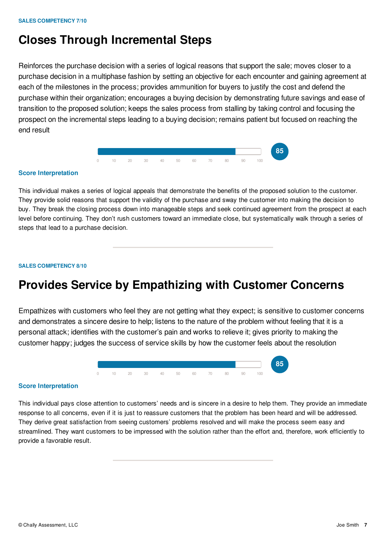### **Closes Through Incremental Steps**

Reinforces the purchase decision with a series of logical reasons that support the sale; moves closer to a purchase decision in a multiphase fashion by setting an objective for each encounter and gaining agreement at each of the milestones in the process; provides ammunition for buyers to justify the cost and defend the purchase within their organization; encourages a buying decision by demonstrating future savings and ease of transition to the proposed solution; keeps the sales process from stalling by taking control and focusing the prospect on the incremental steps leading to a buying decision; remains patient but focused on reaching the end result



#### **Score Interpretation**

This individual makes a series of logical appeals that demonstrate the benefits of the proposed solution to the customer. They provide solid reasons that support the validity of the purchase and sway the customer into making the decision to buy. They break the closing process down into manageable steps and seek continued agreement from the prospect at each level before continuing. They don't rush customers toward an immediate close, but systematically walk through a series of steps that lead to a purchase decision.

#### **SALES COMPETENCY 8/10**

### **Provides Service by Empathizing with Customer Concerns**

Empathizes with customers who feel they are not getting what they expect; is sensitive to customer concerns and demonstrates a sincere desire to help; listens to the nature of the problem without feeling that it is a personal attack; identifies with the customer's pain and works to relieve it; gives priority to making the customer happy; judges the success of service skills by how the customer feels about the resolution



#### **Score Interpretation**

This individual pays close attention to customers' needs and is sincere in a desire to help them. They provide an immediate response to all concerns, even if it is just to reassure customers that the problem has been heard and will be addressed. They derive great satisfaction from seeing customers' problems resolved and will make the process seem easy and streamlined. They want customers to be impressed with the solution rather than the effort and, therefore, work efficiently to provide a favorable result.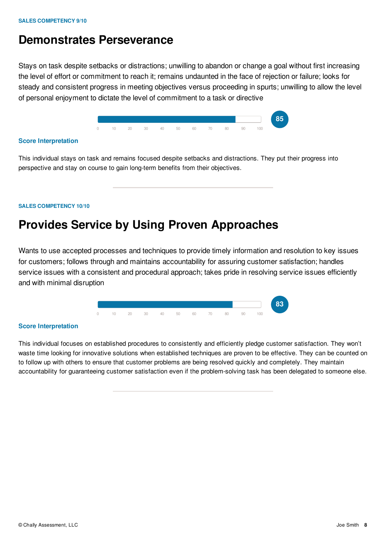### **Demonstrates Perseverance**

Stays on task despite setbacks or distractions; unwilling to abandon or change a goal without first increasing the level of effort or commitment to reach it; remains undaunted in the face of rejection or failure; looks for steady and consistent progress in meeting objectives versus proceeding in spurts; unwilling to allow the level of personal enjoyment to dictate the level of commitment to a task or directive



#### **Score Interpretation**

This individual stays on task and remains focused despite setbacks and distractions. They put their progress into perspective and stay on course to gain long-term benefits from their objectives.

#### **SALES COMPETENCY 10/10**

### **Provides Service by Using Proven Approaches**

Wants to use accepted processes and techniques to provide timely information and resolution to key issues for customers; follows through and maintains accountability for assuring customer satisfaction; handles service issues with a consistent and procedural approach; takes pride in resolving service issues efficiently and with minimal disruption



#### **Score Interpretation**

This individual focuses on established procedures to consistently and efficiently pledge customer satisfaction. They won't waste time looking for innovative solutions when established techniques are proven to be effective. They can be counted on to follow up with others to ensure that customer problems are being resolved quickly and completely. They maintain accountability for guaranteeing customer satisfaction even if the problem-solving task has been delegated to someone else.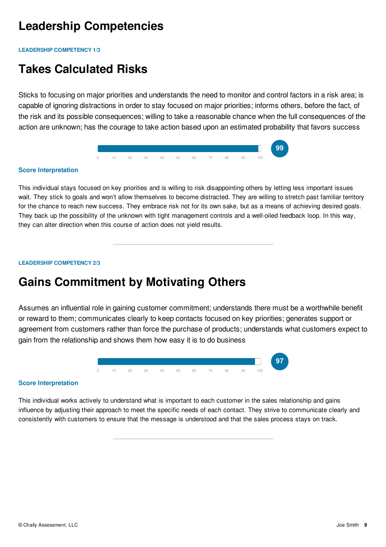### **Leadership Competencies**

**LEADERSHIP COMPETENCY 1/3**

### **Takes Calculated Risks**

Sticks to focusing on major priorities and understands the need to monitor and control factors in a risk area; is capable of ignoring distractions in order to stay focused on major priorities; informs others, before the fact, of the risk and its possible consequences; willing to take a reasonable chance when the full consequences of the action are unknown; has the courage to take action based upon an estimated probability that favors success



#### **Score Interpretation**

This individual stays focused on key priorities and is willing to risk disappointing others by letting less important issues wait. They stick to goals and won't allow themselves to become distracted. They are willing to stretch past familiar territory for the chance to reach new success. They embrace risk not for its own sake, but as a means of achieving desired goals. They back up the possibility of the unknown with tight management controls and a well-oiled feedback loop. In this way, they can alter direction when this course of action does not yield results.

#### **LEADERSHIP COMPETENCY 2/3**

### **Gains Commitment by Motivating Others**

Assumes an influential role in gaining customer commitment; understands there must be a worthwhile benefit or reward to them; communicates clearly to keep contacts focused on key priorities; generates support or agreement from customers rather than force the purchase of products; understands what customers expect to gain from the relationship and shows them how easy it is to do business



#### **Score Interpretation**

This individual works actively to understand what is important to each customer in the sales relationship and gains influence by adjusting their approach to meet the specific needs of each contact. They strive to communicate clearly and consistently with customers to ensure that the message is understood and that the sales process stays on track.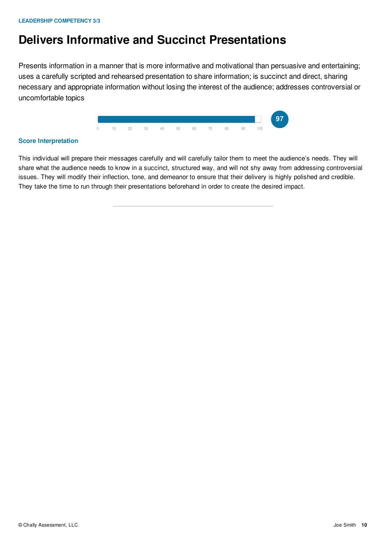### **Delivers Informative and Succinct Presentations**

Presents information in a manner that is more informative and motivational than persuasive and entertaining; uses a carefully scripted and rehearsed presentation to share information; is succinct and direct, sharing necessary and appropriate information without losing the interest of the audience; addresses controversial or uncomfortable topics



#### **Score Interpretation**

This individual will prepare their messages carefully and will carefully tailor them to meet the audience's needs. They will share what the audience needs to know in a succinct, structured way, and will not shy away from addressing controversial issues. They will modify their inflection, tone, and demeanor to ensure that their delivery is highly polished and credible. They take the time to run through their presentations beforehand in order to create the desired impact.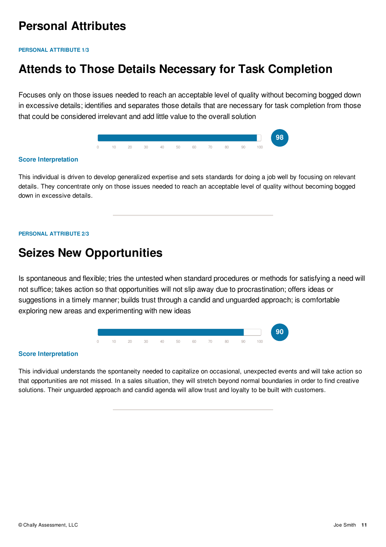### **Personal Attributes**

**PERSONAL ATTRIBUTE 1/3**

### **Attends to Those Details Necessary for Task Completion**

Focuses only on those issues needed to reach an acceptable level of quality without becoming bogged down in excessive details; identifies and separates those details that are necessary for task completion from those that could be considered irrelevant and add little value to the overall solution



#### **Score Interpretation**

This individual is driven to develop generalized expertise and sets standards for doing a job well by focusing on relevant details. They concentrate only on those issues needed to reach an acceptable level of quality without becoming bogged down in excessive details.

#### **PERSONAL ATTRIBUTE 2/3**

### **Seizes New Opportunities**

Is spontaneous and flexible; tries the untested when standard procedures or methods for satisfying a need will not suffice; takes action so that opportunities will not slip away due to procrastination; offers ideas or suggestions in a timely manner; builds trust through a candid and unguarded approach; is comfortable exploring new areas and experimenting with new ideas



#### **Score Interpretation**

This individual understands the spontaneity needed to capitalize on occasional, unexpected events and will take action so that opportunities are not missed. In a sales situation, they will stretch beyond normal boundaries in order to find creative solutions. Their unguarded approach and candid agenda will allow trust and loyalty to be built with customers.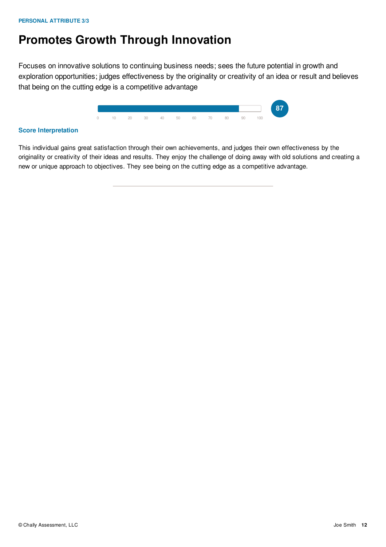### **Promotes Growth Through Innovation**

Focuses on innovative solutions to continuing business needs; sees the future potential in growth and exploration opportunities; judges effectiveness by the originality or creativity of an idea or result and believes that being on the cutting edge is a competitive advantage



#### **Score Interpretation**

This individual gains great satisfaction through their own achievements, and judges their own effectiveness by the originality or creativity of their ideas and results. They enjoy the challenge of doing away with old solutions and creating a new or unique approach to objectives. They see being on the cutting edge as a competitive advantage.